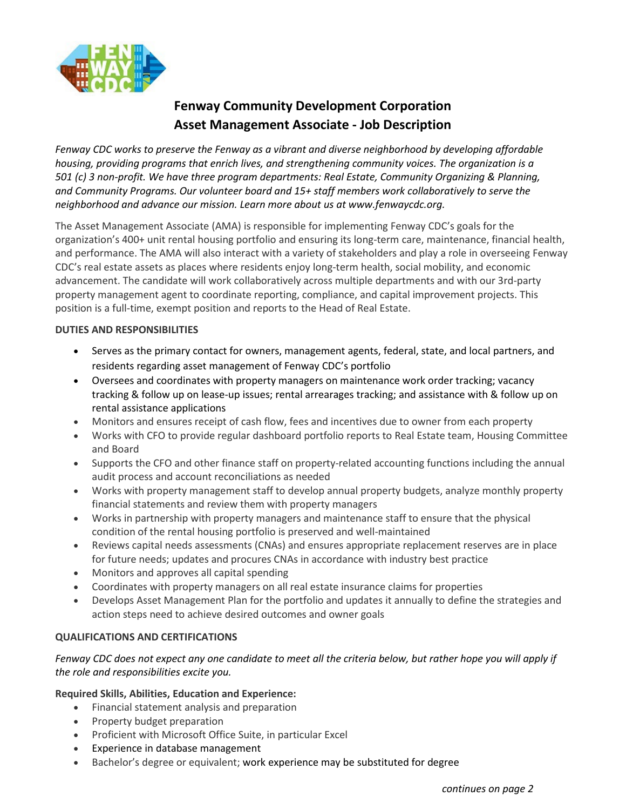

# **Fenway Community Development Corporation Asset Management Associate - Job Description**

*Fenway CDC works to preserve the Fenway as a vibrant and diverse neighborhood by developing affordable housing, providing programs that enrich lives, and strengthening community voices. The organization is a 501 (c) 3 non-profit. We have three program departments: Real Estate, Community Organizing & Planning, and Community Programs. Our volunteer board and 15+ staff members work collaboratively to serve the neighborhood and advance our mission. Learn more about us at www.fenwaycdc.org.*

The Asset Management Associate (AMA) is responsible for implementing Fenway CDC's goals for the organization's 400+ unit rental housing portfolio and ensuring its long-term care, maintenance, financial health, and performance. The AMA will also interact with a variety of stakeholders and play a role in overseeing Fenway CDC's real estate assets as places where residents enjoy long-term health, social mobility, and economic advancement. The candidate will work collaboratively across multiple departments and with our 3rd-party property management agent to coordinate reporting, compliance, and capital improvement projects. This position is a full-time, exempt position and reports to the Head of Real Estate.

# **DUTIES AND RESPONSIBILITIES**

- Serves as the primary contact for owners, management agents, federal, state, and local partners, and residents regarding asset management of Fenway CDC's portfolio
- Oversees and coordinates with property managers on maintenance work order tracking; vacancy tracking & follow up on lease-up issues; rental arrearages tracking; and assistance with & follow up on rental assistance applications
- Monitors and ensures receipt of cash flow, fees and incentives due to owner from each property
- Works with CFO to provide regular dashboard portfolio reports to Real Estate team, Housing Committee and Board
- Supports the CFO and other finance staff on property-related accounting functions including the annual audit process and account reconciliations as needed
- Works with property management staff to develop annual property budgets, analyze monthly property financial statements and review them with property managers
- Works in partnership with property managers and maintenance staff to ensure that the physical condition of the rental housing portfolio is preserved and well-maintained
- Reviews capital needs assessments (CNAs) and ensures appropriate replacement reserves are in place for future needs; updates and procures CNAs in accordance with industry best practice
- Monitors and approves all capital spending
- Coordinates with property managers on all real estate insurance claims for properties
- Develops Asset Management Plan for the portfolio and updates it annually to define the strategies and action steps need to achieve desired outcomes and owner goals

# **QUALIFICATIONS AND CERTIFICATIONS**

# *Fenway CDC does not expect any one candidate to meet all the criteria below, but rather hope you will apply if the role and responsibilities excite you.*

# **Required Skills, Abilities, Education and Experience:**

- Financial statement analysis and preparation
- Property budget preparation
- Proficient with Microsoft Office Suite, in particular Excel
- Experience in database management
- Bachelor's degree or equivalent; work experience may be substituted for degree